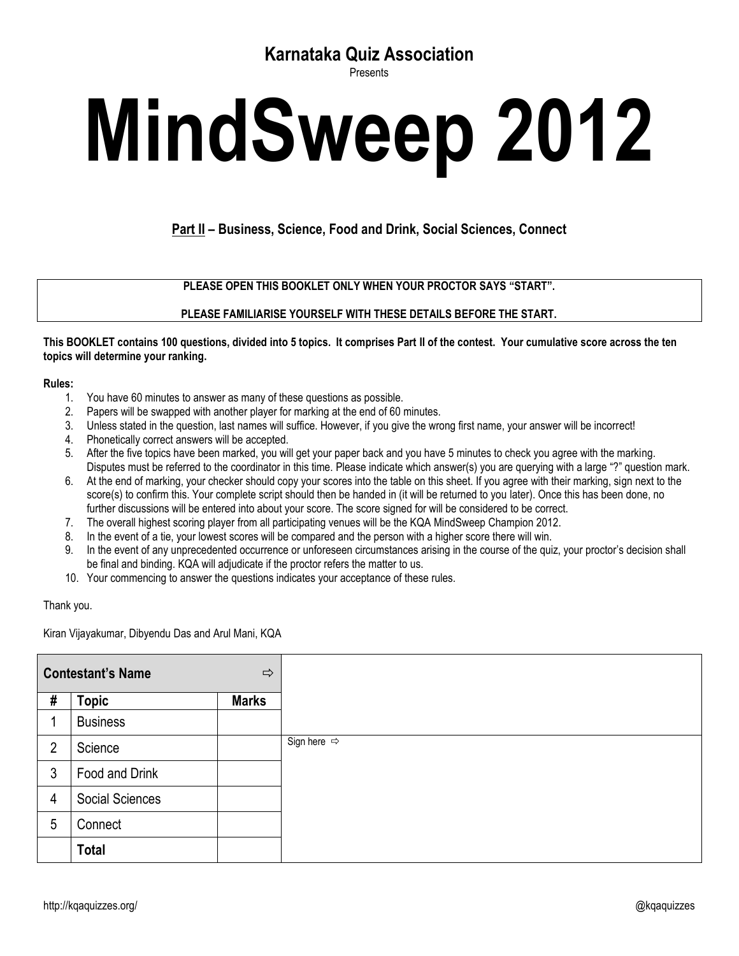## **Karnataka Quiz Association**

Presents

## **MindSweep 2012**

**Part II – Business, Science, Food and Drink, Social Sciences, Connect**

**PLEASE OPEN THIS BOOKLET ONLY WHEN YOUR PROCTOR SAYS "START".**

**PLEASE FAMILIARISE YOURSELF WITH THESE DETAILS BEFORE THE START.**

**This BOOKLET contains 100 questions, divided into 5 topics. It comprises Part II of the contest. Your cumulative score across the ten topics will determine your ranking.**

## **Rules:**

- 1. You have 60 minutes to answer as many of these questions as possible.
- 2. Papers will be swapped with another player for marking at the end of 60 minutes.
- 3. Unless stated in the question, last names will suffice. However, if you give the wrong first name, your answer will be incorrect!
- 4. Phonetically correct answers will be accepted.
- 5. After the five topics have been marked, you will get your paper back and you have 5 minutes to check you agree with the marking. Disputes must be referred to the coordinator in this time. Please indicate which answer(s) you are querying with a large "?" question mark.
- 6. At the end of marking, your checker should copy your scores into the table on this sheet. If you agree with their marking, sign next to the score(s) to confirm this. Your complete script should then be handed in (it will be returned to you later). Once this has been done, no further discussions will be entered into about your score. The score signed for will be considered to be correct.
- 7. The overall highest scoring player from all participating venues will be the KQA MindSweep Champion 2012.
- 8. In the event of a tie, your lowest scores will be compared and the person with a higher score there will win.
- 9. In the event of any unprecedented occurrence or unforeseen circumstances arising in the course of the quiz, your proctor's decision shall be final and binding. KQA will adjudicate if the proctor refers the matter to us.
- 10. Your commencing to answer the questions indicates your acceptance of these rules.

## Thank you.

Kiran Vijayakumar, Dibyendu Das and Arul Mani, KQA

| <b>Contestant's Name</b><br>$\Rightarrow$ |                 |              |  |
|-------------------------------------------|-----------------|--------------|--|
| #                                         | <b>Topic</b>    | <b>Marks</b> |  |
|                                           | <b>Business</b> |              |  |
| $\overline{2}$                            | Science         |              |  |
| 3                                         | Food and Drink  |              |  |
| 4                                         | Social Sciences |              |  |
| 5                                         | Connect         |              |  |
|                                           | <b>Total</b>    |              |  |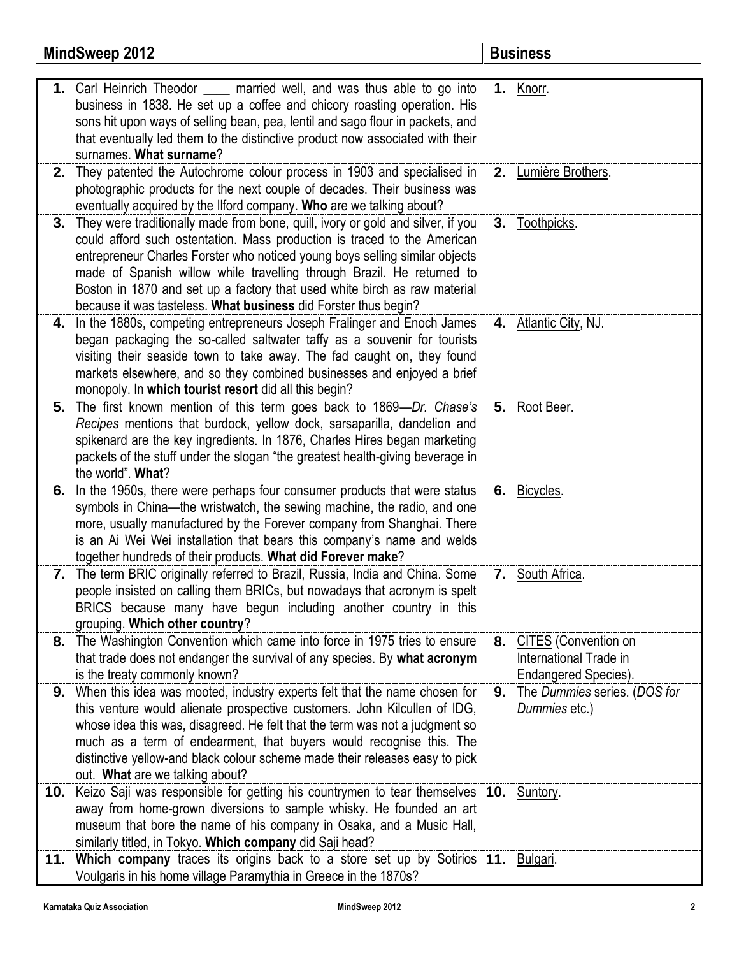|     | 1. Carl Heinrich Theodor _____ married well, and was thus able to go into<br>business in 1838. He set up a coffee and chicory roasting operation. His<br>sons hit upon ways of selling bean, pea, lentil and sago flour in packets, and<br>that eventually led them to the distinctive product now associated with their<br>surnames. What surname?                                                                                                                  |    | 1. Knorr.                                                                 |
|-----|----------------------------------------------------------------------------------------------------------------------------------------------------------------------------------------------------------------------------------------------------------------------------------------------------------------------------------------------------------------------------------------------------------------------------------------------------------------------|----|---------------------------------------------------------------------------|
|     | 2. They patented the Autochrome colour process in 1903 and specialised in<br>photographic products for the next couple of decades. Their business was<br>eventually acquired by the Ilford company. Who are we talking about?                                                                                                                                                                                                                                        |    | 2. Lumière Brothers.                                                      |
| 3.  | They were traditionally made from bone, quill, ivory or gold and silver, if you<br>could afford such ostentation. Mass production is traced to the American<br>entrepreneur Charles Forster who noticed young boys selling similar objects<br>made of Spanish willow while travelling through Brazil. He returned to<br>Boston in 1870 and set up a factory that used white birch as raw material<br>because it was tasteless. What business did Forster thus begin? |    | 3. Toothpicks.                                                            |
|     | 4. In the 1880s, competing entrepreneurs Joseph Fralinger and Enoch James<br>began packaging the so-called saltwater taffy as a souvenir for tourists<br>visiting their seaside town to take away. The fad caught on, they found<br>markets elsewhere, and so they combined businesses and enjoyed a brief<br>monopoly. In which tourist resort did all this begin?                                                                                                  |    | 4. Atlantic City, NJ.                                                     |
| 5.  | The first known mention of this term goes back to 1869-Dr. Chase's<br>Recipes mentions that burdock, yellow dock, sarsaparilla, dandelion and<br>spikenard are the key ingredients. In 1876, Charles Hires began marketing<br>packets of the stuff under the slogan "the greatest health-giving beverage in<br>the world". What?                                                                                                                                     |    | 5. Root Beer.                                                             |
| 6.  | In the 1950s, there were perhaps four consumer products that were status<br>symbols in China—the wristwatch, the sewing machine, the radio, and one<br>more, usually manufactured by the Forever company from Shanghai. There<br>is an Ai Wei Wei installation that bears this company's name and welds<br>together hundreds of their products. What did Forever make?                                                                                               |    | 6. Bicycles.                                                              |
|     | 7. The term BRIC originally referred to Brazil, Russia, India and China. Some<br>people insisted on calling them BRICs, but nowadays that acronym is spelt<br>BRICS because many have begun including another country in this<br>grouping. Which other country?                                                                                                                                                                                                      |    | 7. South Africa.                                                          |
|     | 8. The Washington Convention which came into force in 1975 tries to ensure<br>that trade does not endanger the survival of any species. By what acronym<br>is the treaty commonly known?                                                                                                                                                                                                                                                                             |    | 8. CITES (Convention on<br>International Trade in<br>Endangered Species). |
| 9.  | When this idea was mooted, industry experts felt that the name chosen for<br>this venture would alienate prospective customers. John Kilcullen of IDG,<br>whose idea this was, disagreed. He felt that the term was not a judgment so<br>much as a term of endearment, that buyers would recognise this. The<br>distinctive yellow-and black colour scheme made their releases easy to pick<br>out. What are we talking about?                                       | 9. | The Dummies series. (DOS for<br>Dummies etc.)                             |
| 10. | Keizo Saji was responsible for getting his countrymen to tear themselves 10. Suntory.<br>away from home-grown diversions to sample whisky. He founded an art<br>museum that bore the name of his company in Osaka, and a Music Hall,<br>similarly titled, in Tokyo. Which company did Saji head?                                                                                                                                                                     |    |                                                                           |
|     | 11. Which company traces its origins back to a store set up by Sotirios 11. Bulgari.<br>Voulgaris in his home village Paramythia in Greece in the 1870s?                                                                                                                                                                                                                                                                                                             |    |                                                                           |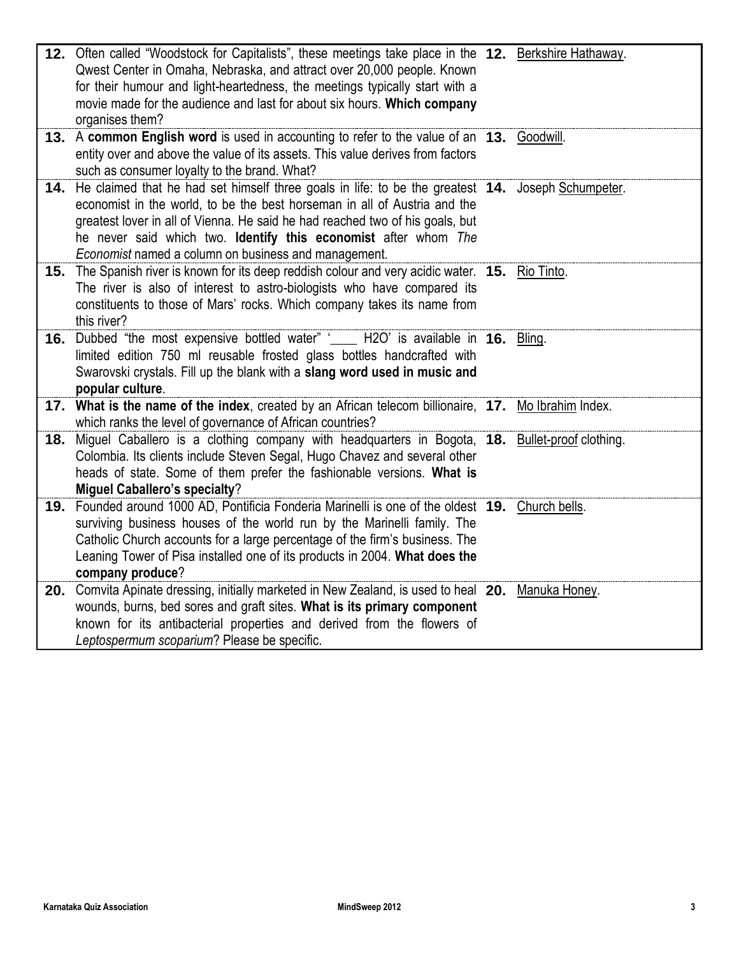| 12. Often called "Woodstock for Capitalists", these meetings take place in the 12. Berkshire Hathaway.<br>Qwest Center in Omaha, Nebraska, and attract over 20,000 people. Known<br>for their humour and light-heartedness, the meetings typically start with a<br>movie made for the audience and last for about six hours. Which company<br>organises them?                                  |  |
|------------------------------------------------------------------------------------------------------------------------------------------------------------------------------------------------------------------------------------------------------------------------------------------------------------------------------------------------------------------------------------------------|--|
| 13. A common English word is used in accounting to refer to the value of an 13. Goodwill.<br>entity over and above the value of its assets. This value derives from factors<br>such as consumer loyalty to the brand. What?                                                                                                                                                                    |  |
| 14. He claimed that he had set himself three goals in life: to be the greatest 14. Joseph Schumpeter.<br>economist in the world, to be the best horseman in all of Austria and the<br>greatest lover in all of Vienna. He said he had reached two of his goals, but<br>he never said which two. Identify this economist after whom The<br>Economist named a column on business and management. |  |
| 15. The Spanish river is known for its deep reddish colour and very acidic water. 15. Rio Tinto.<br>The river is also of interest to astro-biologists who have compared its<br>constituents to those of Mars' rocks. Which company takes its name from<br>this river?                                                                                                                          |  |
| 16. Dubbed "the most expensive bottled water" '_____ H2O' is available in 16. Bling.<br>limited edition 750 ml reusable frosted glass bottles handcrafted with<br>Swarovski crystals. Fill up the blank with a slang word used in music and<br>popular culture.                                                                                                                                |  |
| 17. What is the name of the index, created by an African telecom billionaire, 17. Mo Ibrahim Index.<br>which ranks the level of governance of African countries?                                                                                                                                                                                                                               |  |
| 18. Miguel Caballero is a clothing company with headquarters in Bogota, 18. Bullet-proof clothing.<br>Colombia. Its clients include Steven Segal, Hugo Chavez and several other<br>heads of state. Some of them prefer the fashionable versions. What is<br><b>Miguel Caballero's specialty?</b>                                                                                               |  |
| 19. Founded around 1000 AD, Pontificia Fonderia Marinelli is one of the oldest 19. Church bells.<br>surviving business houses of the world run by the Marinelli family. The<br>Catholic Church accounts for a large percentage of the firm's business. The<br>Leaning Tower of Pisa installed one of its products in 2004. What does the<br>company produce?                                   |  |
| 20. Comvita Apinate dressing, initially marketed in New Zealand, is used to heal 20. Manuka Honey.<br>wounds, burns, bed sores and graft sites. What is its primary component<br>known for its antibacterial properties and derived from the flowers of<br>Leptospermum scoparium? Please be specific.                                                                                         |  |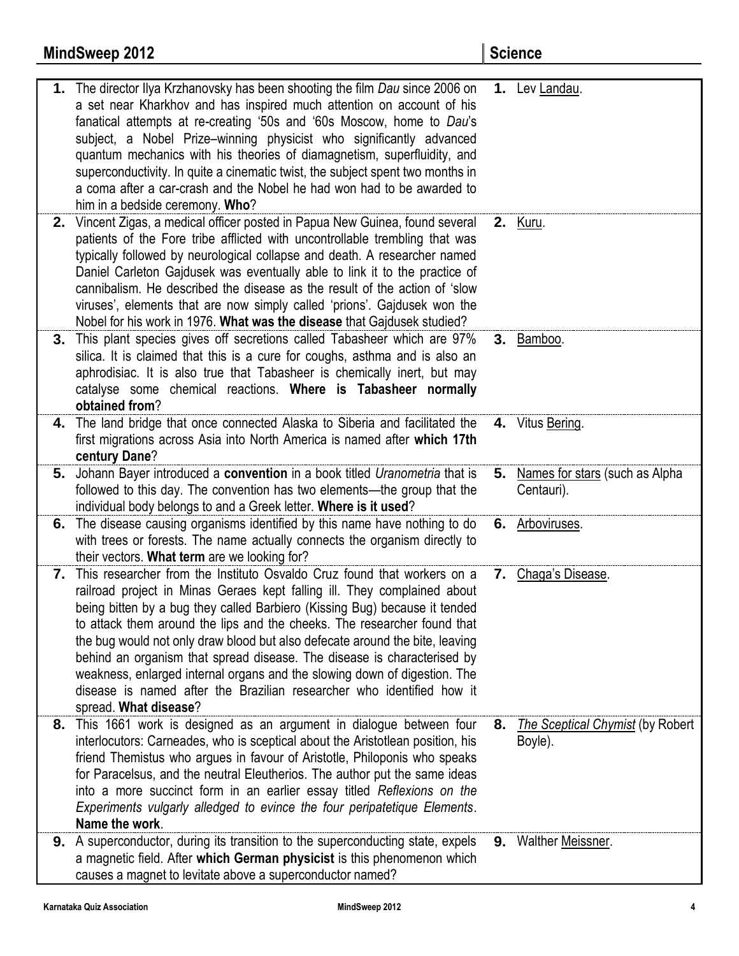|    | <b>MindSweep 2012</b>                                                                                                                                                                                                                                                                                                                                                                                                                                                                                                                                                                                                                                      |    | <b>Science</b>                                     |
|----|------------------------------------------------------------------------------------------------------------------------------------------------------------------------------------------------------------------------------------------------------------------------------------------------------------------------------------------------------------------------------------------------------------------------------------------------------------------------------------------------------------------------------------------------------------------------------------------------------------------------------------------------------------|----|----------------------------------------------------|
|    | 1. The director Ilya Krzhanovsky has been shooting the film Dau since 2006 on<br>a set near Kharkhov and has inspired much attention on account of his<br>fanatical attempts at re-creating '50s and '60s Moscow, home to Dau's<br>subject, a Nobel Prize-winning physicist who significantly advanced<br>quantum mechanics with his theories of diamagnetism, superfluidity, and<br>superconductivity. In quite a cinematic twist, the subject spent two months in<br>a coma after a car-crash and the Nobel he had won had to be awarded to<br>him in a bedside ceremony. Who?                                                                           |    | 1. Lev Landau.                                     |
| 2. | Vincent Zigas, a medical officer posted in Papua New Guinea, found several<br>patients of the Fore tribe afflicted with uncontrollable trembling that was<br>typically followed by neurological collapse and death. A researcher named<br>Daniel Carleton Gajdusek was eventually able to link it to the practice of<br>cannibalism. He described the disease as the result of the action of 'slow<br>viruses', elements that are now simply called 'prions'. Gajdusek won the<br>Nobel for his work in 1976. What was the disease that Gajdusek studied?                                                                                                  |    | <b>2.</b> Kuru.                                    |
| 3. | This plant species gives off secretions called Tabasheer which are 97%<br>silica. It is claimed that this is a cure for coughs, asthma and is also an<br>aphrodisiac. It is also true that Tabasheer is chemically inert, but may<br>catalyse some chemical reactions. Where is Tabasheer normally<br>obtained from?                                                                                                                                                                                                                                                                                                                                       |    | 3. Bamboo.                                         |
| 4. | The land bridge that once connected Alaska to Siberia and facilitated the<br>first migrations across Asia into North America is named after which 17th<br>century Dane?                                                                                                                                                                                                                                                                                                                                                                                                                                                                                    |    | 4. Vitus Bering.                                   |
|    | 5. Johann Bayer introduced a convention in a book titled Uranometria that is<br>followed to this day. The convention has two elements—the group that the<br>individual body belongs to and a Greek letter. Where is it used?                                                                                                                                                                                                                                                                                                                                                                                                                               |    | 5. Names for stars (such as Alpha<br>Centauri).    |
| 6. | The disease causing organisms identified by this name have nothing to do<br>with trees or forests. The name actually connects the organism directly to<br>their vectors. What term are we looking for?                                                                                                                                                                                                                                                                                                                                                                                                                                                     |    | 6. Arboviruses.                                    |
|    | 7. This researcher from the Instituto Osvaldo Cruz found that workers on a<br>railroad project in Minas Geraes kept falling ill. They complained about<br>being bitten by a bug they called Barbiero (Kissing Bug) because it tended<br>to attack them around the lips and the cheeks. The researcher found that<br>the bug would not only draw blood but also defecate around the bite, leaving<br>behind an organism that spread disease. The disease is characterised by<br>weakness, enlarged internal organs and the slowing down of digestion. The<br>disease is named after the Brazilian researcher who identified how it<br>spread. What disease? |    | 7. Chaga's Disease.                                |
| 8. | This 1661 work is designed as an argument in dialogue between four<br>interlocutors: Carneades, who is sceptical about the Aristotlean position, his<br>friend Themistus who argues in favour of Aristotle, Philoponis who speaks<br>for Paracelsus, and the neutral Eleutherios. The author put the same ideas<br>into a more succinct form in an earlier essay titled Reflexions on the<br>Experiments vulgarly alledged to evince the four peripatetique Elements.<br>Name the work.                                                                                                                                                                    | 8. | <b>The Sceptical Chymist (by Robert</b><br>Boyle). |
|    | <b>9.</b> A superconductor, during its transition to the superconducting state, expels<br>a magnetic field. After which German physicist is this phenomenon which<br>causes a magnet to levitate above a superconductor named?                                                                                                                                                                                                                                                                                                                                                                                                                             |    | <b>9.</b> Walther Meissner.                        |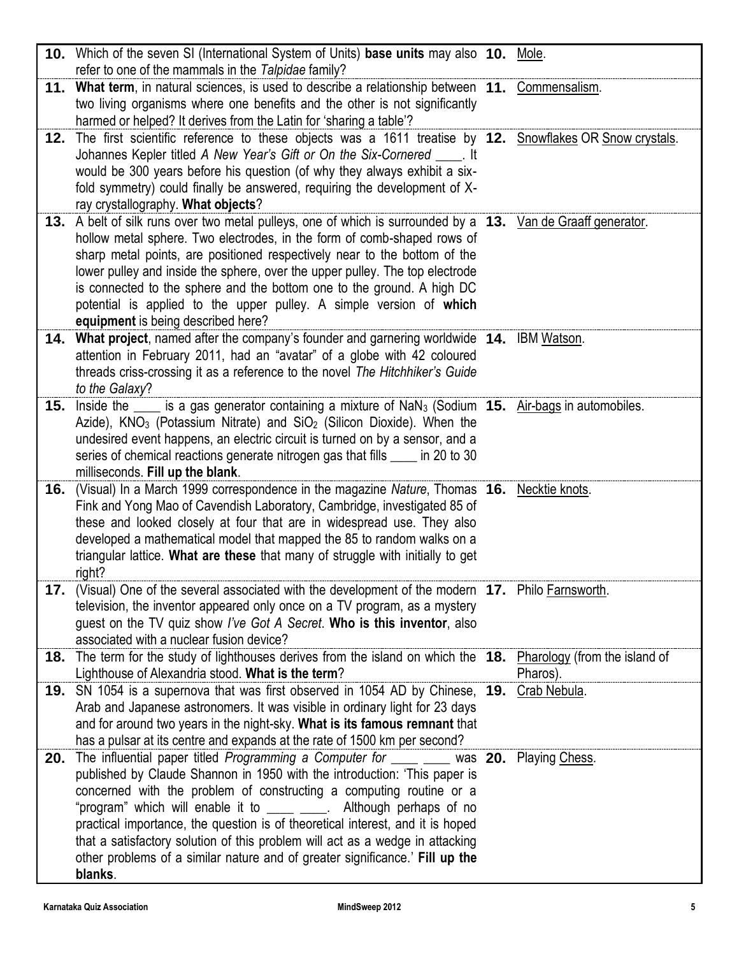|     | 10. Which of the seven SI (International System of Units) base units may also 10. Mole.<br>refer to one of the mammals in the Talpidae family?                                                                                                                                                                                                                                                                                                                                                                                                                                     |              |
|-----|------------------------------------------------------------------------------------------------------------------------------------------------------------------------------------------------------------------------------------------------------------------------------------------------------------------------------------------------------------------------------------------------------------------------------------------------------------------------------------------------------------------------------------------------------------------------------------|--------------|
|     | 11. What term, in natural sciences, is used to describe a relationship between 11. Commensalism.<br>two living organisms where one benefits and the other is not significantly<br>harmed or helped? It derives from the Latin for 'sharing a table'?                                                                                                                                                                                                                                                                                                                               |              |
| 12. | The first scientific reference to these objects was a 1611 treatise by 12. Snowflakes OR Snow crystals.<br>Johannes Kepler titled A New Year's Gift or On the Six-Cornered ____. It<br>would be 300 years before his question (of why they always exhibit a six-<br>fold symmetry) could finally be answered, requiring the development of X-<br>ray crystallography. What objects?                                                                                                                                                                                                |              |
|     | 13. A belt of silk runs over two metal pulleys, one of which is surrounded by a 13. Van de Graaff generator.<br>hollow metal sphere. Two electrodes, in the form of comb-shaped rows of<br>sharp metal points, are positioned respectively near to the bottom of the<br>lower pulley and inside the sphere, over the upper pulley. The top electrode<br>is connected to the sphere and the bottom one to the ground. A high DC<br>potential is applied to the upper pulley. A simple version of which<br>equipment is being described here?                                        |              |
|     | 14. What project, named after the company's founder and garnering worldwide 14. IBM Watson.<br>attention in February 2011, had an "avatar" of a globe with 42 coloured<br>threads criss-crossing it as a reference to the novel The Hitchhiker's Guide<br>to the Galaxy?                                                                                                                                                                                                                                                                                                           |              |
| 15. | Inside the $\frac{1}{\sqrt{1-x^2}}$ is a gas generator containing a mixture of NaN <sub>3</sub> (Sodium <b>15.</b> Air-bags in automobiles.<br>Azide), KNO <sub>3</sub> (Potassium Nitrate) and SiO <sub>2</sub> (Silicon Dioxide). When the<br>undesired event happens, an electric circuit is turned on by a sensor, and a<br>series of chemical reactions generate nitrogen gas that fills _____ in 20 to 30<br>milliseconds. Fill up the blank.                                                                                                                                |              |
| 16. | (Visual) In a March 1999 correspondence in the magazine Nature, Thomas 16. Necktie knots.<br>Fink and Yong Mao of Cavendish Laboratory, Cambridge, investigated 85 of<br>these and looked closely at four that are in widespread use. They also<br>developed a mathematical model that mapped the 85 to random walks on a<br>triangular lattice. What are these that many of struggle with initially to get<br>right?                                                                                                                                                              |              |
| 17. | (Visual) One of the several associated with the development of the modern <b>17.</b> Philo Farnsworth.<br>television, the inventor appeared only once on a TV program, as a mystery<br>guest on the TV quiz show I've Got A Secret. Who is this inventor, also<br>associated with a nuclear fusion device?                                                                                                                                                                                                                                                                         |              |
|     | 18. The term for the study of lighthouses derives from the island on which the 18. Pharology (from the island of<br>Lighthouse of Alexandria stood. What is the term?                                                                                                                                                                                                                                                                                                                                                                                                              | Pharos).     |
|     | 19. SN 1054 is a supernova that was first observed in 1054 AD by Chinese, 19.<br>Arab and Japanese astronomers. It was visible in ordinary light for 23 days<br>and for around two years in the night-sky. What is its famous remnant that<br>has a pulsar at its centre and expands at the rate of 1500 km per second?                                                                                                                                                                                                                                                            | Crab Nebula. |
| 20. | The influential paper titled Programming a Computer for _____ ____ was 20. Playing Chess.<br>published by Claude Shannon in 1950 with the introduction: 'This paper is<br>concerned with the problem of constructing a computing routine or a<br>"program" which will enable it to ____ ____. Although perhaps of no<br>practical importance, the question is of theoretical interest, and it is hoped<br>that a satisfactory solution of this problem will act as a wedge in attacking<br>other problems of a similar nature and of greater significance.' Fill up the<br>blanks. |              |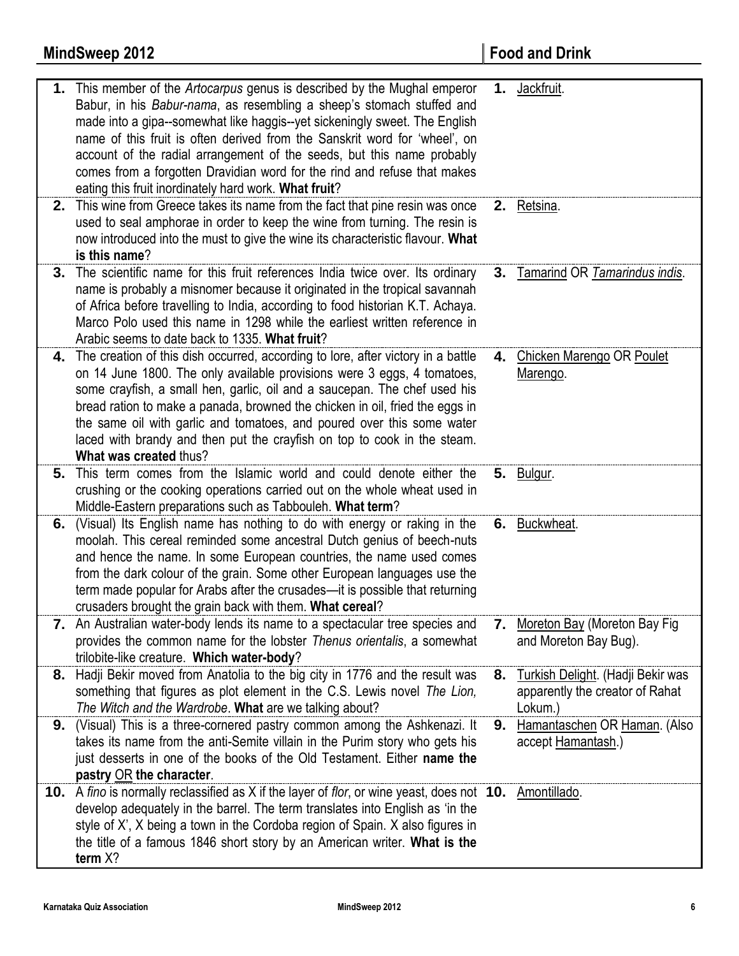|    | <b>MindSweep 2012</b>                                                                                                                                                                                                                                                                                                                                                                                                                                                                                                             |    | <b>Food and Drink</b>                                                           |
|----|-----------------------------------------------------------------------------------------------------------------------------------------------------------------------------------------------------------------------------------------------------------------------------------------------------------------------------------------------------------------------------------------------------------------------------------------------------------------------------------------------------------------------------------|----|---------------------------------------------------------------------------------|
| 1. | This member of the <i>Artocarpus</i> genus is described by the Mughal emperor<br>Babur, in his Babur-nama, as resembling a sheep's stomach stuffed and<br>made into a gipa--somewhat like haggis--yet sickeningly sweet. The English<br>name of this fruit is often derived from the Sanskrit word for 'wheel', on<br>account of the radial arrangement of the seeds, but this name probably<br>comes from a forgotten Dravidian word for the rind and refuse that makes<br>eating this fruit inordinately hard work. What fruit? | 1. | Jackfruit.                                                                      |
| 2. | This wine from Greece takes its name from the fact that pine resin was once<br>used to seal amphorae in order to keep the wine from turning. The resin is<br>now introduced into the must to give the wine its characteristic flavour. What<br>is this name?                                                                                                                                                                                                                                                                      |    | 2. Retsina.                                                                     |
| 3. | The scientific name for this fruit references India twice over. Its ordinary<br>name is probably a misnomer because it originated in the tropical savannah<br>of Africa before travelling to India, according to food historian K.T. Achaya.<br>Marco Polo used this name in 1298 while the earliest written reference in<br>Arabic seems to date back to 1335. What fruit?                                                                                                                                                       |    | 3. Tamarind OR Tamarindus indis.                                                |
| 4. | The creation of this dish occurred, according to lore, after victory in a battle<br>on 14 June 1800. The only available provisions were 3 eggs, 4 tomatoes,<br>some crayfish, a small hen, garlic, oil and a saucepan. The chef used his<br>bread ration to make a panada, browned the chicken in oil, fried the eggs in<br>the same oil with garlic and tomatoes, and poured over this some water<br>laced with brandy and then put the crayfish on top to cook in the steam.<br>What was created thus?                          |    | 4. Chicken Marengo OR Poulet<br>Marengo.                                        |
| 5. | This term comes from the Islamic world and could denote either the<br>crushing or the cooking operations carried out on the whole wheat used in<br>Middle-Eastern preparations such as Tabbouleh. What term?                                                                                                                                                                                                                                                                                                                      |    | 5. Bulgur.                                                                      |
| 6. | (Visual) Its English name has nothing to do with energy or raking in the<br>moolah. This cereal reminded some ancestral Dutch genius of beech-nuts<br>and hence the name. In some European countries, the name used comes<br>from the dark colour of the grain. Some other European languages use the<br>term made popular for Arabs after the crusades-it is possible that returning<br>crusaders brought the grain back with them. What cereal?                                                                                 |    | 6. Buckwheat.                                                                   |
|    | 7. An Australian water-body lends its name to a spectacular tree species and<br>provides the common name for the lobster Thenus orientalis, a somewhat<br>trilobite-like creature. Which water-body?                                                                                                                                                                                                                                                                                                                              | 7. | Moreton Bay (Moreton Bay Fig<br>and Moreton Bay Bug).                           |
| 8. | Hadji Bekir moved from Anatolia to the big city in 1776 and the result was<br>something that figures as plot element in the C.S. Lewis novel The Lion,<br>The Witch and the Wardrobe. What are we talking about?                                                                                                                                                                                                                                                                                                                  | 8. | Turkish Delight. (Hadji Bekir was<br>apparently the creator of Rahat<br>Lokum.) |
| 9. | (Visual) This is a three-cornered pastry common among the Ashkenazi. It<br>takes its name from the anti-Semite villain in the Purim story who gets his<br>just desserts in one of the books of the Old Testament. Either name the<br>pastry OR the character.                                                                                                                                                                                                                                                                     | 9. | Hamantaschen OR Haman. (Also<br>accept Hamantash.)                              |
|    | 10. A fino is normally reclassified as X if the layer of flor, or wine yeast, does not 10. Amontillado.<br>develop adequately in the barrel. The term translates into English as 'in the<br>style of X', X being a town in the Cordoba region of Spain. X also figures in<br>the title of a famous 1846 short story by an American writer. What is the<br>term X?                                                                                                                                                                 |    |                                                                                 |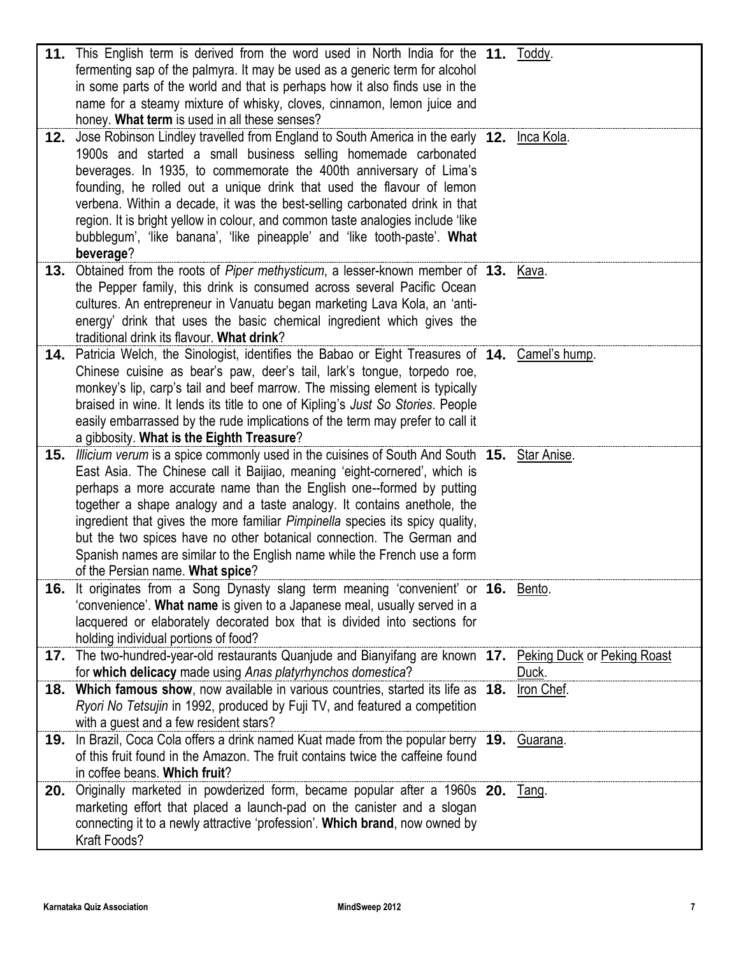| 12. | 11. This English term is derived from the word used in North India for the 11. Toddy.<br>fermenting sap of the palmyra. It may be used as a generic term for alcohol<br>in some parts of the world and that is perhaps how it also finds use in the<br>name for a steamy mixture of whisky, cloves, cinnamon, lemon juice and<br>honey. What term is used in all these senses?<br>Jose Robinson Lindley travelled from England to South America in the early 12. Inca Kola.                                                                                                                            |            |
|-----|--------------------------------------------------------------------------------------------------------------------------------------------------------------------------------------------------------------------------------------------------------------------------------------------------------------------------------------------------------------------------------------------------------------------------------------------------------------------------------------------------------------------------------------------------------------------------------------------------------|------------|
|     | 1900s and started a small business selling homemade carbonated<br>beverages. In 1935, to commemorate the 400th anniversary of Lima's<br>founding, he rolled out a unique drink that used the flavour of lemon<br>verbena. Within a decade, it was the best-selling carbonated drink in that<br>region. It is bright yellow in colour, and common taste analogies include 'like<br>bubblegum', 'like banana', 'like pineapple' and 'like tooth-paste'. What<br>beverage?                                                                                                                                |            |
| 13. | Obtained from the roots of Piper methysticum, a lesser-known member of 13. Kava.<br>the Pepper family, this drink is consumed across several Pacific Ocean<br>cultures. An entrepreneur in Vanuatu began marketing Lava Kola, an 'anti-<br>energy' drink that uses the basic chemical ingredient which gives the<br>traditional drink its flavour. What drink?                                                                                                                                                                                                                                         |            |
| 14. | Patricia Welch, the Sinologist, identifies the Babao or Eight Treasures of 14. Camel's hump.<br>Chinese cuisine as bear's paw, deer's tail, lark's tongue, torpedo roe,<br>monkey's lip, carp's tail and beef marrow. The missing element is typically<br>braised in wine. It lends its title to one of Kipling's Just So Stories. People<br>easily embarrassed by the rude implications of the term may prefer to call it<br>a gibbosity. What is the Eighth Treasure?                                                                                                                                |            |
| 15. | Illicium verum is a spice commonly used in the cuisines of South And South 15. Star Anise.<br>East Asia. The Chinese call it Baijiao, meaning 'eight-cornered', which is<br>perhaps a more accurate name than the English one--formed by putting<br>together a shape analogy and a taste analogy. It contains anethole, the<br>ingredient that gives the more familiar Pimpinella species its spicy quality,<br>but the two spices have no other botanical connection. The German and<br>Spanish names are similar to the English name while the French use a form<br>of the Persian name. What spice? |            |
|     | <b>16.</b> It originates from a Song Dynasty slang term meaning 'convenient' or <b>16.</b> Bento.<br>'convenience'. What name is given to a Japanese meal, usually served in a<br>lacquered or elaborately decorated box that is divided into sections for<br>holding individual portions of food?                                                                                                                                                                                                                                                                                                     |            |
|     | 17. The two-hundred-year-old restaurants Quanjude and Bianyifang are known 17. Peking Duck or Peking Roast<br>for which delicacy made using Anas platyrhynchos domestica?                                                                                                                                                                                                                                                                                                                                                                                                                              | Duck.      |
|     | 18. Which famous show, now available in various countries, started its life as 18.<br>Ryori No Tetsujin in 1992, produced by Fuji TV, and featured a competition<br>with a guest and a few resident stars?                                                                                                                                                                                                                                                                                                                                                                                             | Iron Chef. |
| 19. | In Brazil, Coca Cola offers a drink named Kuat made from the popular berry 19. Guarana.<br>of this fruit found in the Amazon. The fruit contains twice the caffeine found<br>in coffee beans. Which fruit?                                                                                                                                                                                                                                                                                                                                                                                             |            |
| 20. | Originally marketed in powderized form, became popular after a 1960s 20. Tang.<br>marketing effort that placed a launch-pad on the canister and a slogan<br>connecting it to a newly attractive 'profession'. Which brand, now owned by<br>Kraft Foods?                                                                                                                                                                                                                                                                                                                                                |            |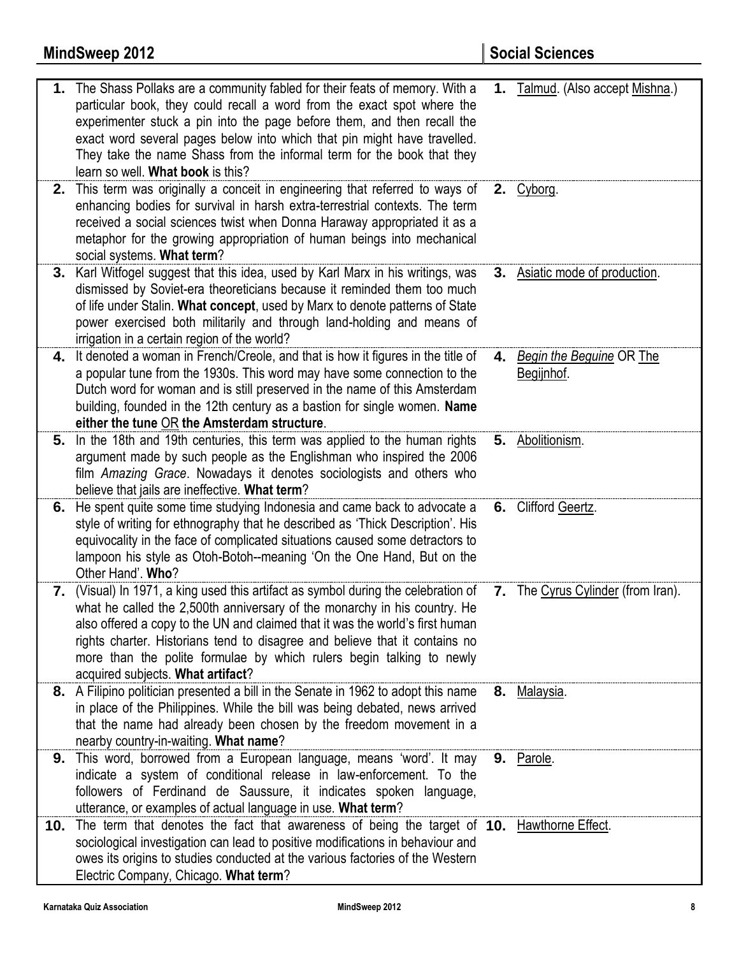|     | 1. The Shass Pollaks are a community fabled for their feats of memory. With a<br>particular book, they could recall a word from the exact spot where the<br>experimenter stuck a pin into the page before them, and then recall the<br>exact word several pages below into which that pin might have travelled.<br>They take the name Shass from the informal term for the book that they<br>learn so well. What book is this?            |    | 1. Talmud. (Also accept Mishna.)              |
|-----|-------------------------------------------------------------------------------------------------------------------------------------------------------------------------------------------------------------------------------------------------------------------------------------------------------------------------------------------------------------------------------------------------------------------------------------------|----|-----------------------------------------------|
| 2.  | This term was originally a conceit in engineering that referred to ways of<br>enhancing bodies for survival in harsh extra-terrestrial contexts. The term<br>received a social sciences twist when Donna Haraway appropriated it as a<br>metaphor for the growing appropriation of human beings into mechanical<br>social systems. What term?                                                                                             |    | 2. $Cyborg.$                                  |
| 3.  | Karl Witfogel suggest that this idea, used by Karl Marx in his writings, was<br>dismissed by Soviet-era theoreticians because it reminded them too much<br>of life under Stalin. What concept, used by Marx to denote patterns of State<br>power exercised both militarily and through land-holding and means of<br>irrigation in a certain region of the world?                                                                          |    | <b>3.</b> Asiatic mode of production.         |
| 4.  | It denoted a woman in French/Creole, and that is how it figures in the title of<br>a popular tune from the 1930s. This word may have some connection to the<br>Dutch word for woman and is still preserved in the name of this Amsterdam<br>building, founded in the 12th century as a bastion for single women. Name<br>either the tune OR the Amsterdam structure.                                                                      | 4. | <b>Begin the Beguine OR The</b><br>Begijnhof. |
| 5.  | In the 18th and 19th centuries, this term was applied to the human rights<br>argument made by such people as the Englishman who inspired the 2006<br>film Amazing Grace. Nowadays it denotes sociologists and others who<br>believe that jails are ineffective. What term?                                                                                                                                                                |    | 5. Abolitionism.                              |
| 6.  | He spent quite some time studying Indonesia and came back to advocate a<br>style of writing for ethnography that he described as 'Thick Description'. His<br>equivocality in the face of complicated situations caused some detractors to<br>lampoon his style as Otoh-Botoh--meaning 'On the One Hand, But on the<br>Other Hand'. Who?                                                                                                   |    | 6. Clifford Geertz.                           |
| 7.  | (Visual) In 1971, a king used this artifact as symbol during the celebration of<br>what he called the 2,500th anniversary of the monarchy in his country. He<br>also offered a copy to the UN and claimed that it was the world's first human<br>rights charter. Historians tend to disagree and believe that it contains no<br>more than the polite formulae by which rulers begin talking to newly<br>acquired subjects. What artifact? |    | 7. The Cyrus Cylinder (from Iran).            |
|     | 8. A Filipino politician presented a bill in the Senate in 1962 to adopt this name<br>in place of the Philippines. While the bill was being debated, news arrived<br>that the name had already been chosen by the freedom movement in a<br>nearby country-in-waiting. What name?                                                                                                                                                          |    | 8. Malaysia.                                  |
|     | 9. This word, borrowed from a European language, means 'word'. It may<br>indicate a system of conditional release in law-enforcement. To the<br>followers of Ferdinand de Saussure, it indicates spoken language,<br>utterance, or examples of actual language in use. What term?                                                                                                                                                         |    | 9. Parole.                                    |
| 10. | The term that denotes the fact that awareness of being the target of 10. Hawthorne Effect.<br>sociological investigation can lead to positive modifications in behaviour and<br>owes its origins to studies conducted at the various factories of the Western<br>Electric Company, Chicago. What term?                                                                                                                                    |    |                                               |

**MindSweep 2012 Social Sciences**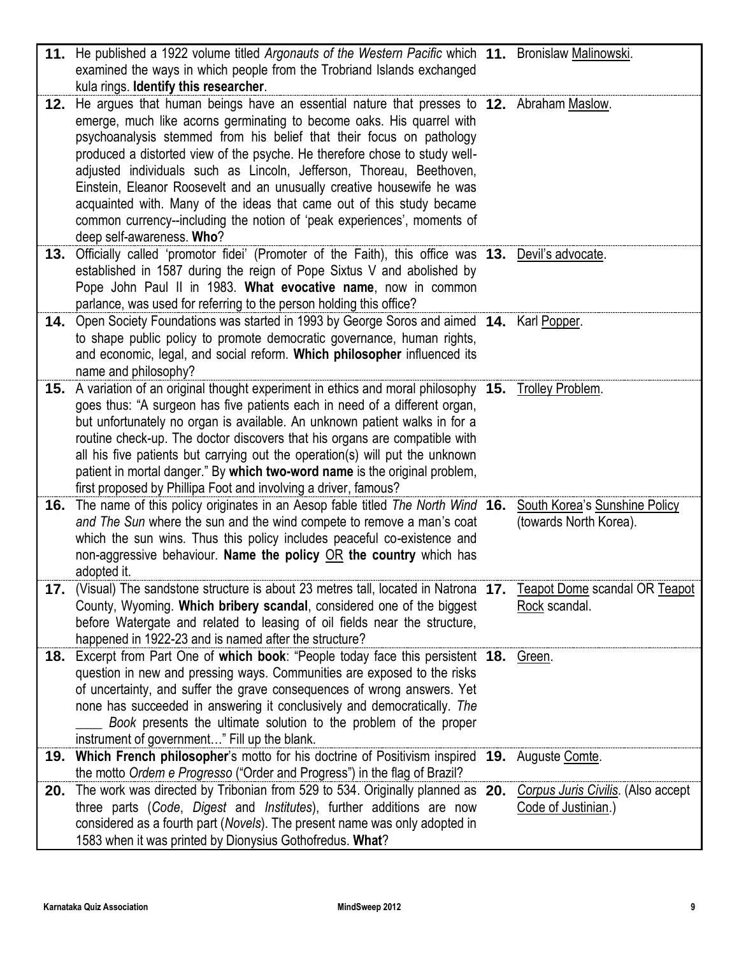| Teapot Dome scandal OR Teapot      |
|------------------------------------|
|                                    |
|                                    |
|                                    |
|                                    |
|                                    |
|                                    |
|                                    |
|                                    |
|                                    |
|                                    |
| Corpus Juris Civilis. (Also accept |
|                                    |
|                                    |
| South Korea's Sunshine Policy      |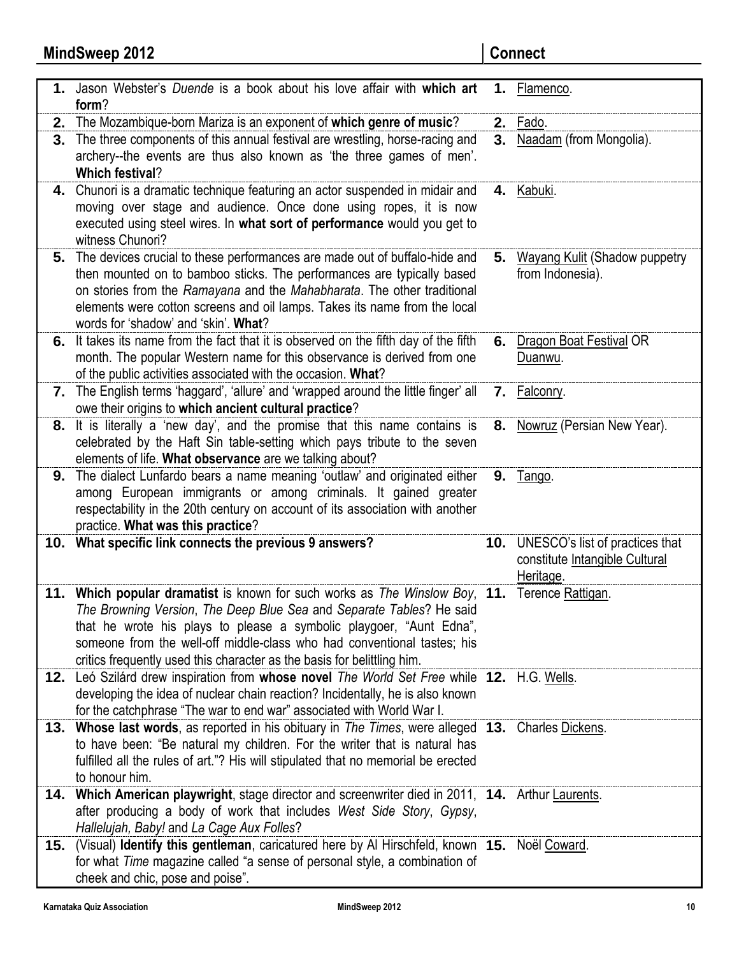|     | 1. Jason Webster's Duende is a book about his love affair with which art<br>form?                                                                                                                                                                                                                                                                                                                  |    | 1. Flamenco.                                                                              |
|-----|----------------------------------------------------------------------------------------------------------------------------------------------------------------------------------------------------------------------------------------------------------------------------------------------------------------------------------------------------------------------------------------------------|----|-------------------------------------------------------------------------------------------|
|     | 2. The Mozambique-born Mariza is an exponent of which genre of music?                                                                                                                                                                                                                                                                                                                              | 2. | Fado.                                                                                     |
| 3.  | The three components of this annual festival are wrestling, horse-racing and<br>archery--the events are thus also known as 'the three games of men'.<br><b>Which festival?</b>                                                                                                                                                                                                                     |    | 3. Naadam (from Mongolia).                                                                |
|     | 4. Chunori is a dramatic technique featuring an actor suspended in midair and<br>moving over stage and audience. Once done using ropes, it is now<br>executed using steel wires. In what sort of performance would you get to<br>witness Chunori?                                                                                                                                                  |    | 4. Kabuki.                                                                                |
| 5.  | The devices crucial to these performances are made out of buffalo-hide and<br>then mounted on to bamboo sticks. The performances are typically based<br>on stories from the Ramayana and the Mahabharata. The other traditional<br>elements were cotton screens and oil lamps. Takes its name from the local<br>words for 'shadow' and 'skin'. What?                                               | 5. | <b>Wayang Kulit (Shadow puppetry</b><br>from Indonesia).                                  |
|     | 6. It takes its name from the fact that it is observed on the fifth day of the fifth<br>month. The popular Western name for this observance is derived from one<br>of the public activities associated with the occasion. What?                                                                                                                                                                    | 6. | <b>Dragon Boat Festival OR</b><br>Duanwu.                                                 |
|     | 7. The English terms 'haggard', 'allure' and 'wrapped around the little finger' all<br>owe their origins to which ancient cultural practice?                                                                                                                                                                                                                                                       |    | 7. Falconry.                                                                              |
| 8.  | It is literally a 'new day', and the promise that this name contains is<br>celebrated by the Haft Sin table-setting which pays tribute to the seven<br>elements of life. What observance are we talking about?                                                                                                                                                                                     |    | 8. Nowruz (Persian New Year).                                                             |
| 9.  | The dialect Lunfardo bears a name meaning 'outlaw' and originated either<br>among European immigrants or among criminals. It gained greater<br>respectability in the 20th century on account of its association with another<br>practice. What was this practice?                                                                                                                                  |    | <b>9.</b> Tango.                                                                          |
|     | 10. What specific link connects the previous 9 answers?                                                                                                                                                                                                                                                                                                                                            |    | <b>10.</b> UNESCO's list of practices that<br>constitute Intangible Cultural<br>Heritage. |
|     | 11. Which popular dramatist is known for such works as The Winslow Boy, 11. Terence Rattigan.<br>The Browning Version, The Deep Blue Sea and Separate Tables? He said<br>that he wrote his plays to please a symbolic playgoer, "Aunt Edna",<br>someone from the well-off middle-class who had conventional tastes; his<br>critics frequently used this character as the basis for belittling him. |    |                                                                                           |
|     | 12. Leó Szilárd drew inspiration from whose novel The World Set Free while 12. H.G. Wells.<br>developing the idea of nuclear chain reaction? Incidentally, he is also known<br>for the catchphrase "The war to end war" associated with World War I.                                                                                                                                               |    |                                                                                           |
|     | 13. Whose last words, as reported in his obituary in The Times, were alleged 13. Charles Dickens.<br>to have been: "Be natural my children. For the writer that is natural has<br>fulfilled all the rules of art."? His will stipulated that no memorial be erected<br>to honour him.                                                                                                              |    |                                                                                           |
|     | 14. Which American playwright, stage director and screenwriter died in 2011, 14. Arthur Laurents.<br>after producing a body of work that includes West Side Story, Gypsy,<br>Hallelujah, Baby! and La Cage Aux Folles?                                                                                                                                                                             |    |                                                                                           |
| 15. | (Visual) Identify this gentleman, caricatured here by Al Hirschfeld, known 15. Noël Coward.<br>for what Time magazine called "a sense of personal style, a combination of<br>cheek and chic, pose and poise".                                                                                                                                                                                      |    |                                                                                           |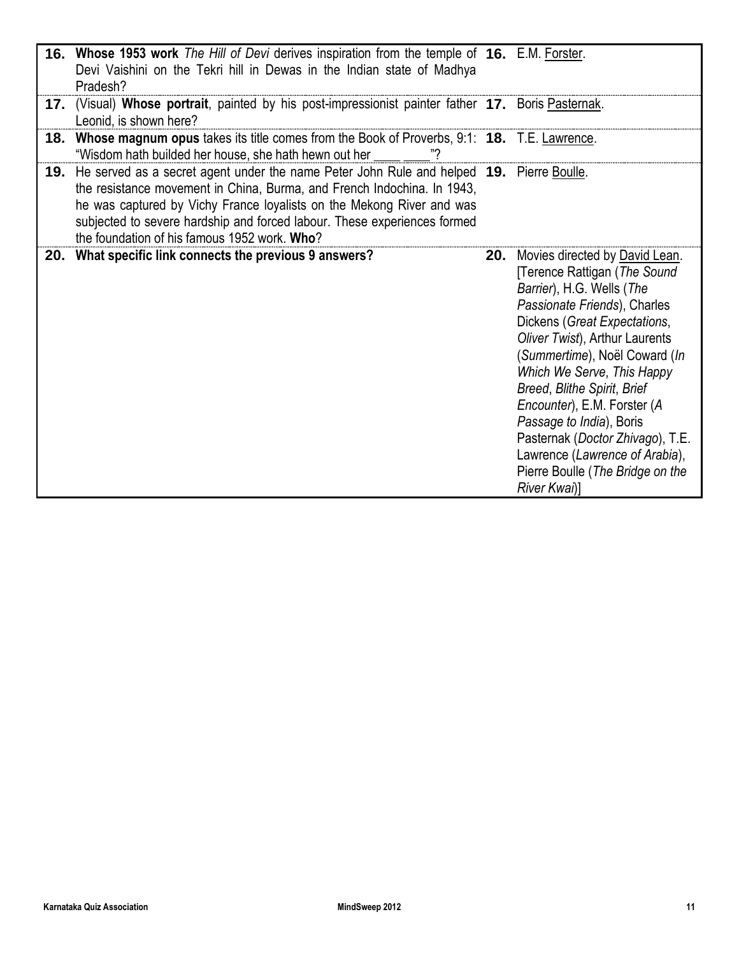|     | 16. Whose 1953 work The Hill of Devi derives inspiration from the temple of 16. E.M. Forster.<br>Devi Vaishini on the Tekri hill in Dewas in the Indian state of Madhya<br>Pradesh?                                                                                                                                                                                          |                                                                                                                                                                                                                                                                                                                                                                                                                                                                                     |
|-----|------------------------------------------------------------------------------------------------------------------------------------------------------------------------------------------------------------------------------------------------------------------------------------------------------------------------------------------------------------------------------|-------------------------------------------------------------------------------------------------------------------------------------------------------------------------------------------------------------------------------------------------------------------------------------------------------------------------------------------------------------------------------------------------------------------------------------------------------------------------------------|
| 17. | (Visual) Whose portrait, painted by his post-impressionist painter father 17. Boris Pasternak.<br>Leonid, is shown here?                                                                                                                                                                                                                                                     |                                                                                                                                                                                                                                                                                                                                                                                                                                                                                     |
|     | 18. Whose magnum opus takes its title comes from the Book of Proverbs, 9:1: 18. T.E. Lawrence.<br>"Wisdom hath builded her house, she hath hewn out her                                                                                                                                                                                                                      |                                                                                                                                                                                                                                                                                                                                                                                                                                                                                     |
|     | 19. He served as a secret agent under the name Peter John Rule and helped 19. Pierre Boulle.<br>the resistance movement in China, Burma, and French Indochina. In 1943,<br>he was captured by Vichy France loyalists on the Mekong River and was<br>subjected to severe hardship and forced labour. These experiences formed<br>the foundation of his famous 1952 work. Who? |                                                                                                                                                                                                                                                                                                                                                                                                                                                                                     |
|     | 20. What specific link connects the previous 9 answers?                                                                                                                                                                                                                                                                                                                      | 20. Movies directed by David Lean.<br>Terence Rattigan (The Sound<br>Barrier), H.G. Wells (The<br>Passionate Friends), Charles<br>Dickens (Great Expectations,<br>Oliver Twist), Arthur Laurents<br>(Summertime), Noël Coward (In<br>Which We Serve, This Happy<br>Breed, Blithe Spirit, Brief<br>Encounter), E.M. Forster (A<br>Passage to India), Boris<br>Pasternak (Doctor Zhivago), T.E.<br>Lawrence (Lawrence of Arabia),<br>Pierre Boulle (The Bridge on the<br>River Kwai)] |